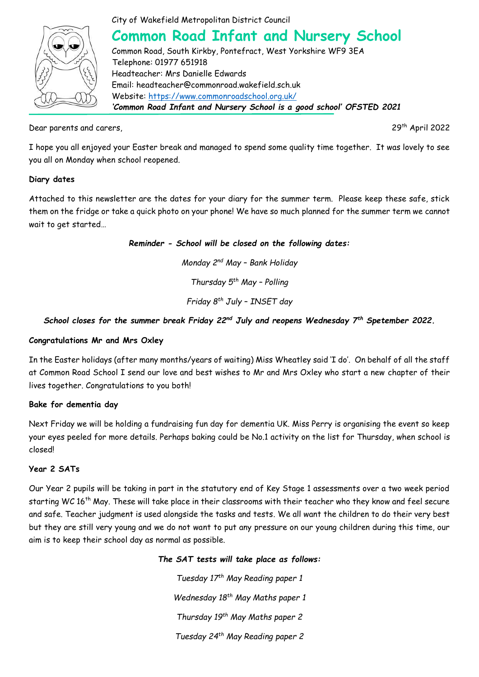

City of Wakefield Metropolitan District Council

# **Common Road Infant and Nursery School**

Common Road, South Kirkby, Pontefract, West Yorkshire WF9 3EA Telephone: 01977 651918 Headteacher: Mrs Danielle Edwards Email: headteacher@commonroad.wakefield.sch.uk Website:<https://www.commonroadschool.org.uk/> *'Common Road Infant and Nursery School is a good school' OFSTED 2021*

Dear parents and carers, 2022 and the carers, 29<sup>th</sup> April 2022

I hope you all enjoyed your Easter break and managed to spend some quality time together. It was lovely to see you all on Monday when school reopened.

## **Diary dates**

Attached to this newsletter are the dates for your diary for the summer term. Please keep these safe, stick them on the fridge or take a quick photo on your phone! We have so much planned for the summer term we cannot wait to get started…

*Reminder - School will be closed on the following dates:*

*Monday 2nd May – Bank Holiday*

*Thursday 5th May – Polling*

*Friday 8th July – INSET day*

# *School closes for the summer break Friday 22nd July and reopens Wednesday 7th Spetember 2022.*

#### **Congratulations Mr and Mrs Oxley**

In the Easter holidays (after many months/years of waiting) Miss Wheatley said 'I do'. On behalf of all the staff at Common Road School I send our love and best wishes to Mr and Mrs Oxley who start a new chapter of their lives together. Congratulations to you both!

#### **Bake for dementia day**

Next Friday we will be holding a fundraising fun day for dementia UK. Miss Perry is organising the event so keep your eyes peeled for more details. Perhaps baking could be No.1 activity on the list for Thursday, when school is closed!

#### **Year 2 SATs**

Our Year 2 pupils will be taking in part in the statutory end of Key Stage 1 assessments over a two week period starting WC 16<sup>th</sup> May. These will take place in their classrooms with their teacher who they know and feel secure and safe. Teacher judgment is used alongside the tasks and tests. We all want the children to do their very best but they are still very young and we do not want to put any pressure on our young children during this time, our aim is to keep their school day as normal as possible.

# *The SAT tests will take place as follows:*

*Tuesday 17th May Reading paper 1 Wednesday 18th May Maths paper 1 Thursday 19th May Maths paper 2 Tuesday 24th May Reading paper 2*